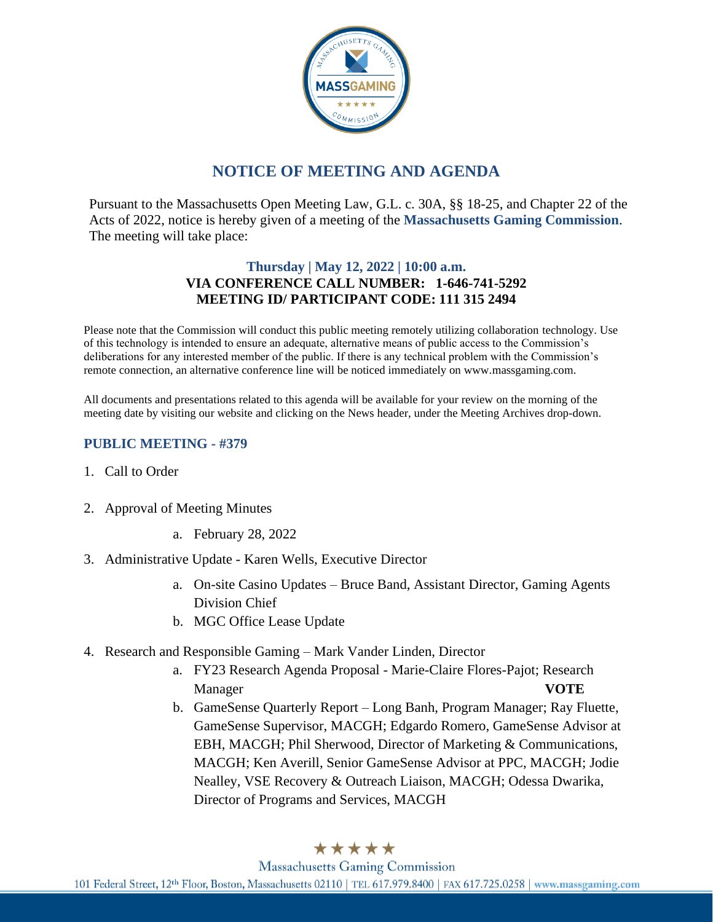

# **NOTICE OF MEETING AND AGENDA**

Pursuant to the Massachusetts Open Meeting Law, G.L. c. 30A, §§ 18-25, and Chapter 22 of the Acts of 2022, notice is hereby given of a meeting of the **Massachusetts Gaming Commission**. The meeting will take place:

### **Thursday | May 12, 2022 | 10:00 a.m. VIA CONFERENCE CALL NUMBER: 1-646-741-5292 MEETING ID/ PARTICIPANT CODE: 111 315 2494**

Please note that the Commission will conduct this public meeting remotely utilizing collaboration technology. Use of this technology is intended to ensure an adequate, alternative means of public access to the Commission's deliberations for any interested member of the public. If there is any technical problem with the Commission's remote connection, an alternative conference line will be noticed immediately on www.massgaming.com.

All documents and presentations related to this agenda will be available for your review on the morning of the meeting date by visiting our website and clicking on the News header, under the Meeting Archives drop-down.

### **PUBLIC MEETING - #379**

- 1. Call to Order
- 2. Approval of Meeting Minutes
	- a. February 28, 2022
- 3. Administrative Update Karen Wells, Executive Director
	- a. On-site Casino Updates Bruce Band, Assistant Director, Gaming Agents Division Chief
	- b. MGC Office Lease Update
- 4. Research and Responsible Gaming Mark Vander Linden, Director
	- a. FY23 Research Agenda Proposal Marie-Claire Flores-Pajot; Research Manager **VOTE**
	- b. GameSense Quarterly Report Long Banh, Program Manager; Ray Fluette, GameSense Supervisor, MACGH; Edgardo Romero, GameSense Advisor at EBH, MACGH; Phil Sherwood, Director of Marketing & Communications, MACGH; Ken Averill, Senior GameSense Advisor at PPC, MACGH; Jodie Nealley, VSE Recovery & Outreach Liaison, MACGH; Odessa Dwarika, Director of Programs and Services, MACGH

## \*\*\*\*\*